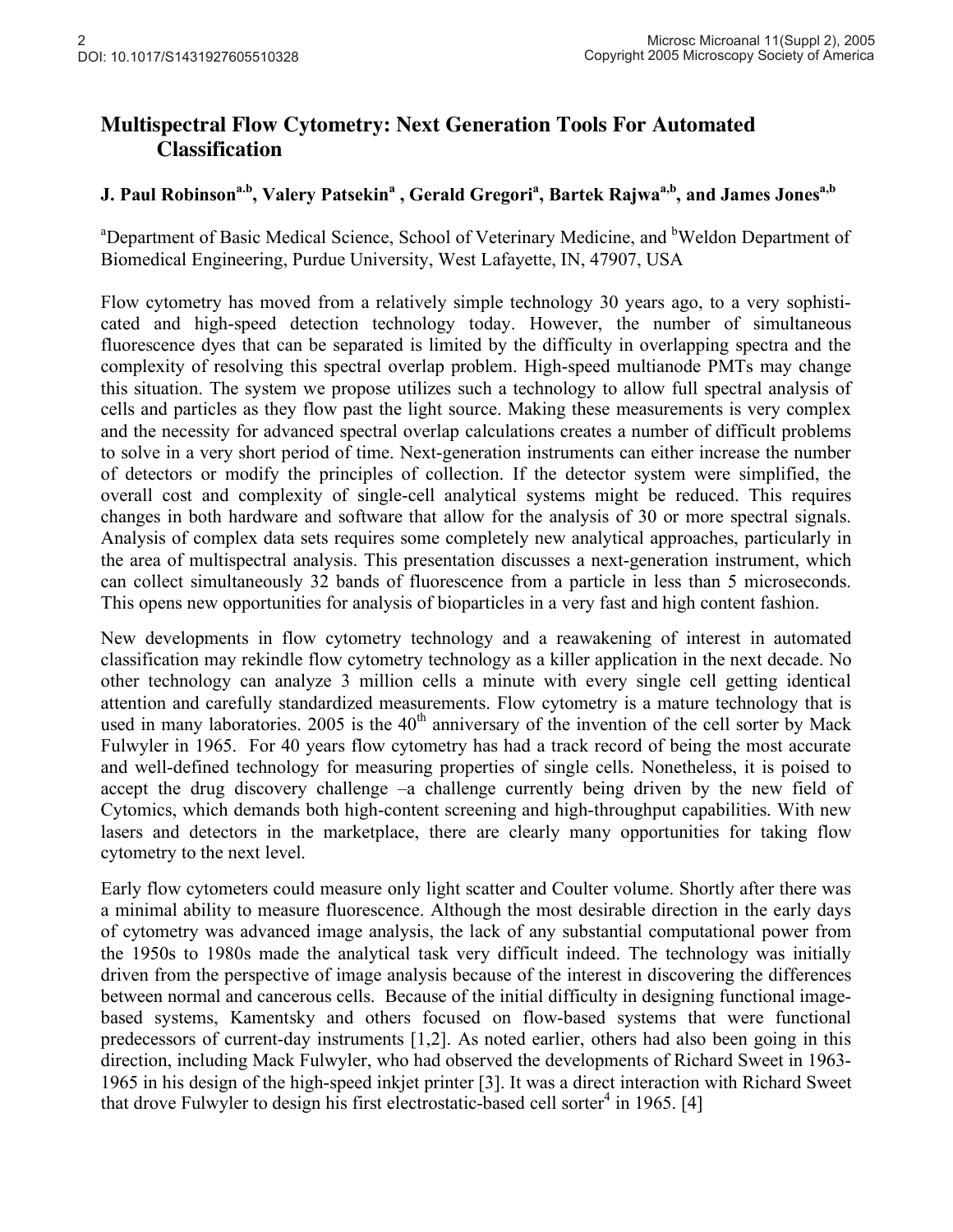## **Multispectral Flow Cytometry: Next Generation Tools For Automated Classification**

## J. Paul Robinson<sup>a.b</sup>, Valery Patsekin<sup>a</sup> , Gerald Gregori<sup>a</sup>, Bartek Rajwa<sup>a,b</sup>, and James Jones<sup>a,b</sup>

<sup>a</sup>Department of Basic Medical Science, School of Veterinary Medicine, and <sup>b</sup>Weldon Department of Biomedical Engineering, Purdue University, West Lafayette, IN, 47907, USA

Flow cytometry has moved from a relatively simple technology 30 years ago, to a very sophisticated and high-speed detection technology today. However, the number of simultaneous fluorescence dyes that can be separated is limited by the difficulty in overlapping spectra and the complexity of resolving this spectral overlap problem. High-speed multianode PMTs may change this situation. The system we propose utilizes such a technology to allow full spectral analysis of cells and particles as they flow past the light source. Making these measurements is very complex and the necessity for advanced spectral overlap calculations creates a number of difficult problems to solve in a very short period of time. Next-generation instruments can either increase the number of detectors or modify the principles of collection. If the detector system were simplified, the overall cost and complexity of single-cell analytical systems might be reduced. This requires changes in both hardware and software that allow for the analysis of 30 or more spectral signals. Analysis of complex data sets requires some completely new analytical approaches, particularly in the area of multispectral analysis. This presentation discusses a next-generation instrument, which can collect simultaneously 32 bands of fluorescence from a particle in less than 5 microseconds. This opens new opportunities for analysis of bioparticles in a very fast and high content fashion.

New developments in flow cytometry technology and a reawakening of interest in automated classification may rekindle flow cytometry technology as a killer application in the next decade. No other technology can analyze 3 million cells a minute with every single cell getting identical attention and carefully standardized measurements. Flow cytometry is a mature technology that is used in many laboratories. 2005 is the  $40<sup>th</sup>$  anniversary of the invention of the cell sorter by Mack Fulwyler in 1965. For 40 years flow cytometry has had a track record of being the most accurate and well-defined technology for measuring properties of single cells. Nonetheless, it is poised to accept the drug discovery challenge –a challenge currently being driven by the new field of Cytomics, which demands both high-content screening and high-throughput capabilities. With new lasers and detectors in the marketplace, there are clearly many opportunities for taking flow cytometry to the next level.

Early flow cytometers could measure only light scatter and Coulter volume. Shortly after there was a minimal ability to measure fluorescence. Although the most desirable direction in the early days of cytometry was advanced image analysis, the lack of any substantial computational power from the 1950s to 1980s made the analytical task very difficult indeed. The technology was initially driven from the perspective of image analysis because of the interest in discovering the differences between normal and cancerous cells. Because of the initial difficulty in designing functional imagebased systems, Kamentsky and others focused on flow-based systems that were functional predecessors of current-day instruments [1,2]. As noted earlier, others had also been going in this direction, including Mack Fulwyler, who had observed the developments of Richard Sweet in 1963- 1965 in his design of the high-speed inkjet printer [3]. It was a direct interaction with Richard Sweet that drove Fulwyler to design his first electrostatic-based cell sorter<sup>4</sup> in 1965. [4]